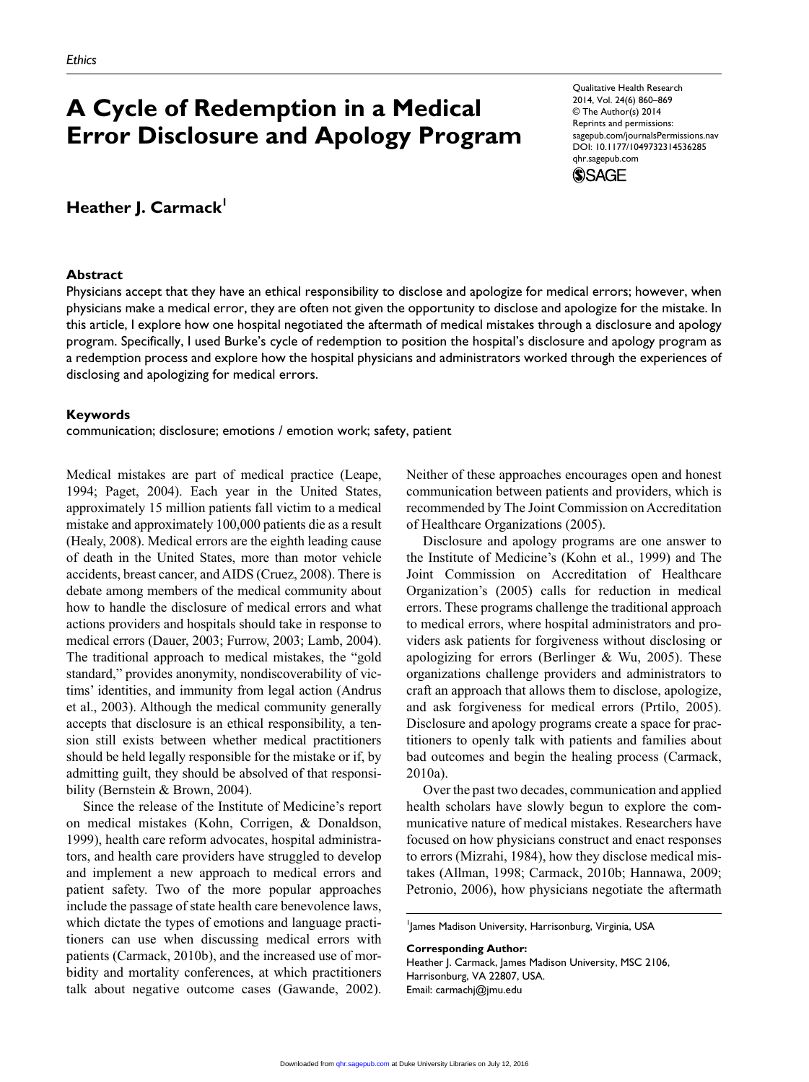# **A Cycle of Redemption in a Medical Error Disclosure and Apology Program**

# **Heather J. Carmack'**

#### **Abstract**

Physicians accept that they have an ethical responsibility to disclose and apologize for medical errors; however, when physicians make a medical error, they are often not given the opportunity to disclose and apologize for the mistake. In this article, I explore how one hospital negotiated the aftermath of medical mistakes through a disclosure and apology program. Specifically, I used Burke's cycle of redemption to position the hospital's disclosure and apology program as a redemption process and explore how the hospital physicians and administrators worked through the experiences of disclosing and apologizing for medical errors.

#### **Keywords**

communication; disclosure; emotions / emotion work; safety, patient

Medical mistakes are part of medical practice (Leape, 1994; Paget, 2004). Each year in the United States, approximately 15 million patients fall victim to a medical mistake and approximately 100,000 patients die as a result (Healy, 2008). Medical errors are the eighth leading cause of death in the United States, more than motor vehicle accidents, breast cancer, and AIDS (Cruez, 2008). There is debate among members of the medical community about how to handle the disclosure of medical errors and what actions providers and hospitals should take in response to medical errors (Dauer, 2003; Furrow, 2003; Lamb, 2004). The traditional approach to medical mistakes, the "gold standard," provides anonymity, nondiscoverability of victims' identities, and immunity from legal action (Andrus et al., 2003). Although the medical community generally accepts that disclosure is an ethical responsibility, a tension still exists between whether medical practitioners should be held legally responsible for the mistake or if, by admitting guilt, they should be absolved of that responsibility (Bernstein & Brown, 2004).

Since the release of the Institute of Medicine's report on medical mistakes (Kohn, Corrigen, & Donaldson, 1999), health care reform advocates, hospital administrators, and health care providers have struggled to develop and implement a new approach to medical errors and patient safety. Two of the more popular approaches include the passage of state health care benevolence laws, which dictate the types of emotions and language practitioners can use when discussing medical errors with patients (Carmack, 2010b), and the increased use of morbidity and mortality conferences, at which practitioners talk about negative outcome cases (Gawande, 2002).

Neither of these approaches encourages open and honest communication between patients and providers, which is recommended by The Joint Commission on Accreditation of Healthcare Organizations (2005).

Disclosure and apology programs are one answer to the Institute of Medicine's (Kohn et al., 1999) and The Joint Commission on Accreditation of Healthcare Organization's (2005) calls for reduction in medical errors. These programs challenge the traditional approach to medical errors, where hospital administrators and providers ask patients for forgiveness without disclosing or apologizing for errors (Berlinger  $& Wu, 2005$ ). These organizations challenge providers and administrators to craft an approach that allows them to disclose, apologize, and ask forgiveness for medical errors (Prtilo, 2005). Disclosure and apology programs create a space for practitioners to openly talk with patients and families about bad outcomes and begin the healing process (Carmack, 2010a).

Over the past two decades, communication and applied health scholars have slowly begun to explore the communicative nature of medical mistakes. Researchers have focused on how physicians construct and enact responses to errors (Mizrahi, 1984), how they disclose medical mistakes (Allman, 1998; Carmack, 2010b; Hannawa, 2009; Petronio, 2006), how physicians negotiate the aftermath

1 James Madison University, Harrisonburg, Virginia, USA

**Corresponding Author:**

Heather J. Carmack, James Madison University, MSC 2106, Harrisonburg, VA 22807, USA. Email: carmachj@jmu.edu



Qualitative Health Research 2014, Vol. 24(6) 860–869 © The Author(s) 2014 Reprints and permissions: sagepub.com/journalsPermissions.nav DOI: 10.1177/1049732314536285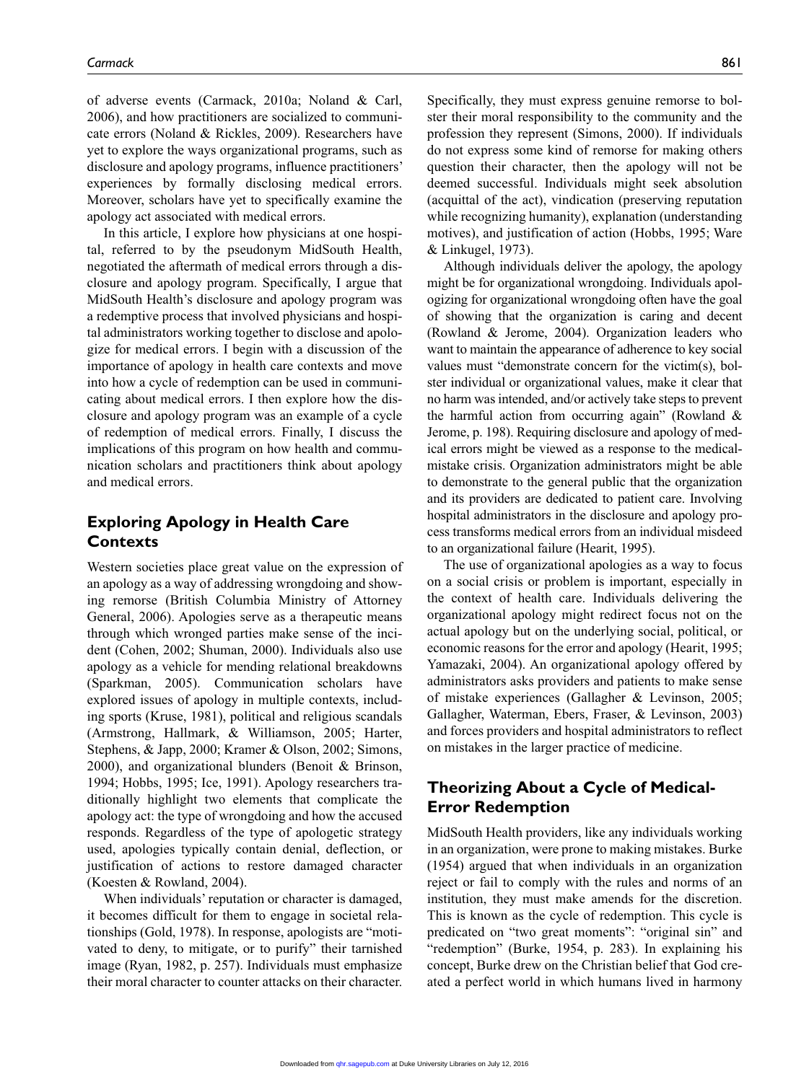of adverse events (Carmack, 2010a; Noland & Carl, 2006), and how practitioners are socialized to communicate errors (Noland & Rickles, 2009). Researchers have yet to explore the ways organizational programs, such as disclosure and apology programs, influence practitioners' experiences by formally disclosing medical errors. Moreover, scholars have yet to specifically examine the apology act associated with medical errors.

In this article, I explore how physicians at one hospital, referred to by the pseudonym MidSouth Health, negotiated the aftermath of medical errors through a disclosure and apology program. Specifically, I argue that MidSouth Health's disclosure and apology program was a redemptive process that involved physicians and hospital administrators working together to disclose and apologize for medical errors. I begin with a discussion of the importance of apology in health care contexts and move into how a cycle of redemption can be used in communicating about medical errors. I then explore how the disclosure and apology program was an example of a cycle of redemption of medical errors. Finally, I discuss the implications of this program on how health and communication scholars and practitioners think about apology and medical errors.

# **Exploring Apology in Health Care Contexts**

Western societies place great value on the expression of an apology as a way of addressing wrongdoing and showing remorse (British Columbia Ministry of Attorney General, 2006). Apologies serve as a therapeutic means through which wronged parties make sense of the incident (Cohen, 2002; Shuman, 2000). Individuals also use apology as a vehicle for mending relational breakdowns (Sparkman, 2005). Communication scholars have explored issues of apology in multiple contexts, including sports (Kruse, 1981), political and religious scandals (Armstrong, Hallmark, & Williamson, 2005; Harter, Stephens, & Japp, 2000; Kramer & Olson, 2002; Simons, 2000), and organizational blunders (Benoit & Brinson, 1994; Hobbs, 1995; Ice, 1991). Apology researchers traditionally highlight two elements that complicate the apology act: the type of wrongdoing and how the accused responds. Regardless of the type of apologetic strategy used, apologies typically contain denial, deflection, or justification of actions to restore damaged character (Koesten & Rowland, 2004).

When individuals' reputation or character is damaged, it becomes difficult for them to engage in societal relationships (Gold, 1978). In response, apologists are "motivated to deny, to mitigate, or to purify" their tarnished image (Ryan, 1982, p. 257). Individuals must emphasize their moral character to counter attacks on their character.

Specifically, they must express genuine remorse to bolster their moral responsibility to the community and the profession they represent (Simons, 2000). If individuals do not express some kind of remorse for making others question their character, then the apology will not be deemed successful. Individuals might seek absolution (acquittal of the act), vindication (preserving reputation while recognizing humanity), explanation (understanding motives), and justification of action (Hobbs, 1995; Ware & Linkugel, 1973).

Although individuals deliver the apology, the apology might be for organizational wrongdoing. Individuals apologizing for organizational wrongdoing often have the goal of showing that the organization is caring and decent (Rowland & Jerome, 2004). Organization leaders who want to maintain the appearance of adherence to key social values must "demonstrate concern for the victim(s), bolster individual or organizational values, make it clear that no harm was intended, and/or actively take steps to prevent the harmful action from occurring again" (Rowland & Jerome, p. 198). Requiring disclosure and apology of medical errors might be viewed as a response to the medicalmistake crisis. Organization administrators might be able to demonstrate to the general public that the organization and its providers are dedicated to patient care. Involving hospital administrators in the disclosure and apology process transforms medical errors from an individual misdeed to an organizational failure (Hearit, 1995).

The use of organizational apologies as a way to focus on a social crisis or problem is important, especially in the context of health care. Individuals delivering the organizational apology might redirect focus not on the actual apology but on the underlying social, political, or economic reasons for the error and apology (Hearit, 1995; Yamazaki, 2004). An organizational apology offered by administrators asks providers and patients to make sense of mistake experiences (Gallagher & Levinson, 2005; Gallagher, Waterman, Ebers, Fraser, & Levinson, 2003) and forces providers and hospital administrators to reflect on mistakes in the larger practice of medicine.

## **Theorizing About a Cycle of Medical-Error Redemption**

MidSouth Health providers, like any individuals working in an organization, were prone to making mistakes. Burke (1954) argued that when individuals in an organization reject or fail to comply with the rules and norms of an institution, they must make amends for the discretion. This is known as the cycle of redemption. This cycle is predicated on "two great moments": "original sin" and "redemption" (Burke, 1954, p. 283). In explaining his concept, Burke drew on the Christian belief that God created a perfect world in which humans lived in harmony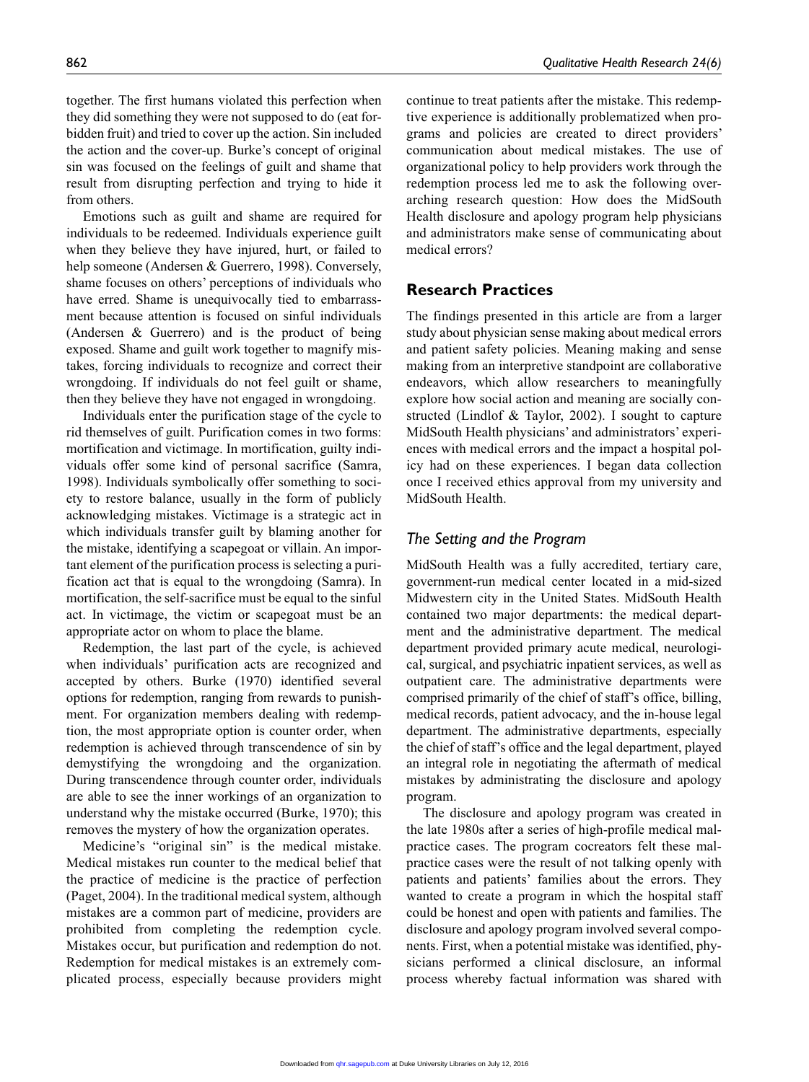together. The first humans violated this perfection when they did something they were not supposed to do (eat forbidden fruit) and tried to cover up the action. Sin included the action and the cover-up. Burke's concept of original sin was focused on the feelings of guilt and shame that result from disrupting perfection and trying to hide it from others.

Emotions such as guilt and shame are required for individuals to be redeemed. Individuals experience guilt when they believe they have injured, hurt, or failed to help someone (Andersen & Guerrero, 1998). Conversely, shame focuses on others' perceptions of individuals who have erred. Shame is unequivocally tied to embarrassment because attention is focused on sinful individuals (Andersen & Guerrero) and is the product of being exposed. Shame and guilt work together to magnify mistakes, forcing individuals to recognize and correct their wrongdoing. If individuals do not feel guilt or shame, then they believe they have not engaged in wrongdoing.

Individuals enter the purification stage of the cycle to rid themselves of guilt. Purification comes in two forms: mortification and victimage. In mortification, guilty individuals offer some kind of personal sacrifice (Samra, 1998). Individuals symbolically offer something to society to restore balance, usually in the form of publicly acknowledging mistakes. Victimage is a strategic act in which individuals transfer guilt by blaming another for the mistake, identifying a scapegoat or villain. An important element of the purification process is selecting a purification act that is equal to the wrongdoing (Samra). In mortification, the self-sacrifice must be equal to the sinful act. In victimage, the victim or scapegoat must be an appropriate actor on whom to place the blame.

Redemption, the last part of the cycle, is achieved when individuals' purification acts are recognized and accepted by others. Burke (1970) identified several options for redemption, ranging from rewards to punishment. For organization members dealing with redemption, the most appropriate option is counter order, when redemption is achieved through transcendence of sin by demystifying the wrongdoing and the organization. During transcendence through counter order, individuals are able to see the inner workings of an organization to understand why the mistake occurred (Burke, 1970); this removes the mystery of how the organization operates.

Medicine's "original sin" is the medical mistake. Medical mistakes run counter to the medical belief that the practice of medicine is the practice of perfection (Paget, 2004). In the traditional medical system, although mistakes are a common part of medicine, providers are prohibited from completing the redemption cycle. Mistakes occur, but purification and redemption do not. Redemption for medical mistakes is an extremely complicated process, especially because providers might continue to treat patients after the mistake. This redemptive experience is additionally problematized when programs and policies are created to direct providers' communication about medical mistakes. The use of organizational policy to help providers work through the redemption process led me to ask the following overarching research question: How does the MidSouth Health disclosure and apology program help physicians and administrators make sense of communicating about medical errors?

## **Research Practices**

The findings presented in this article are from a larger study about physician sense making about medical errors and patient safety policies. Meaning making and sense making from an interpretive standpoint are collaborative endeavors, which allow researchers to meaningfully explore how social action and meaning are socially constructed (Lindlof & Taylor, 2002). I sought to capture MidSouth Health physicians' and administrators' experiences with medical errors and the impact a hospital policy had on these experiences. I began data collection once I received ethics approval from my university and MidSouth Health.

#### *The Setting and the Program*

MidSouth Health was a fully accredited, tertiary care, government-run medical center located in a mid-sized Midwestern city in the United States. MidSouth Health contained two major departments: the medical department and the administrative department. The medical department provided primary acute medical, neurological, surgical, and psychiatric inpatient services, as well as outpatient care. The administrative departments were comprised primarily of the chief of staff's office, billing, medical records, patient advocacy, and the in-house legal department. The administrative departments, especially the chief of staff's office and the legal department, played an integral role in negotiating the aftermath of medical mistakes by administrating the disclosure and apology program.

The disclosure and apology program was created in the late 1980s after a series of high-profile medical malpractice cases. The program cocreators felt these malpractice cases were the result of not talking openly with patients and patients' families about the errors. They wanted to create a program in which the hospital staff could be honest and open with patients and families. The disclosure and apology program involved several components. First, when a potential mistake was identified, physicians performed a clinical disclosure, an informal process whereby factual information was shared with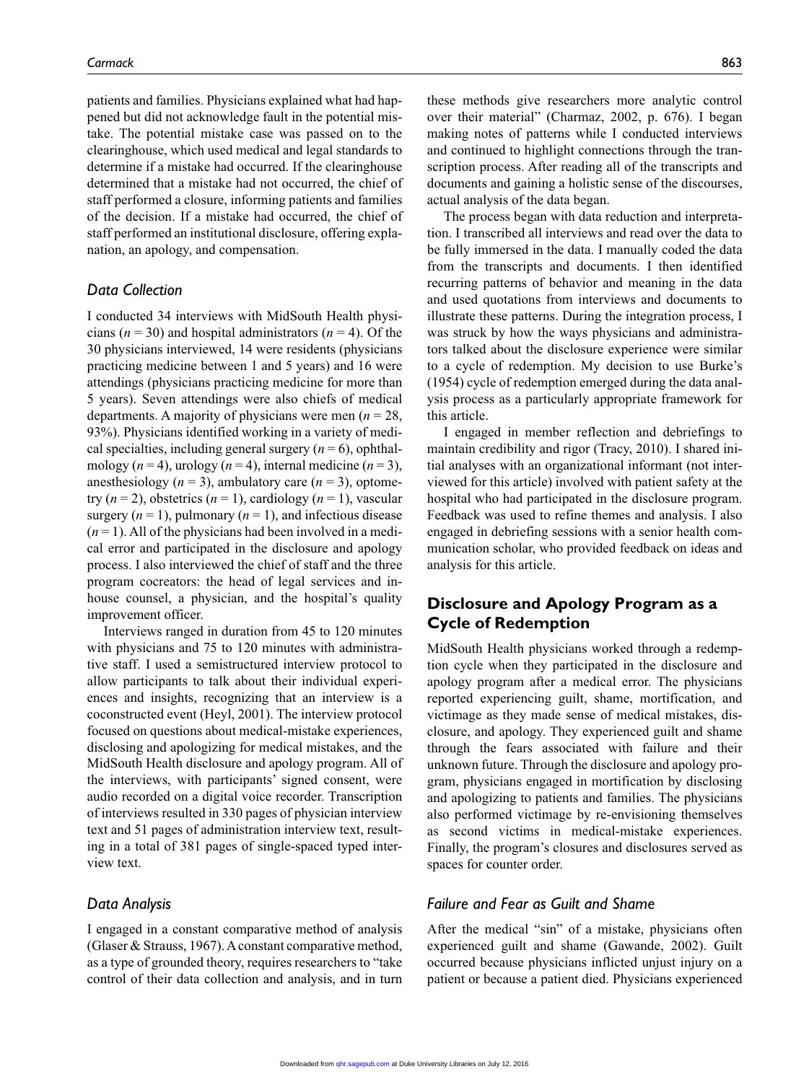patients and families. Physicians explained what had happened but did not acknowledge fault in the potential mistake. The potential mistake case was passed on to the clearinghouse, which used medical and legal standards to determine if a mistake had occurred. If the clearinghouse determined that a mistake had not occurred, the chief of staff performed a closure, informing patients and families of the decision. If a mistake had occurred, the chief of staff performed an institutional disclosure, offering explanation, an apology, and compensation.

## *Data Collection*

I conducted 34 interviews with MidSouth Health physicians  $(n = 30)$  and hospital administrators  $(n = 4)$ . Of the 30 physicians interviewed, 14 were residents (physicians practicing medicine between 1 and 5 years) and 16 were attendings (physicians practicing medicine for more than 5 years). Seven attendings were also chiefs of medical departments. A majority of physicians were men (*n* = 28, 93%). Physicians identified working in a variety of medical specialties, including general surgery  $(n = 6)$ , ophthalmology  $(n = 4)$ , urology  $(n = 4)$ , internal medicine  $(n = 3)$ , anesthesiology  $(n = 3)$ , ambulatory care  $(n = 3)$ , optometry  $(n = 2)$ , obstetrics  $(n = 1)$ , cardiology  $(n = 1)$ , vascular surgery  $(n = 1)$ , pulmonary  $(n = 1)$ , and infectious disease  $(n=1)$ . All of the physicians had been involved in a medical error and participated in the disclosure and apology process. I also interviewed the chief of staff and the three program cocreators: the head of legal services and inhouse counsel, a physician, and the hospital's quality improvement officer.

Interviews ranged in duration from 45 to 120 minutes with physicians and 75 to 120 minutes with administrative staff. I used a semistructured interview protocol to allow participants to talk about their individual experiences and insights, recognizing that an interview is a coconstructed event (Heyl, 2001). The interview protocol focused on questions about medical-mistake experiences, disclosing and apologizing for medical mistakes, and the MidSouth Health disclosure and apology program. All of the interviews, with participants' signed consent, were audio recorded on a digital voice recorder. Transcription of interviews resulted in 330 pages of physician interview text and 51 pages of administration interview text, resulting in a total of 381 pages of single-spaced typed interview text.

#### *Data Analysis*

I engaged in a constant comparative method of analysis (Glaser & Strauss, 1967). A constant comparative method, as a type of grounded theory, requires researchers to "take control of their data collection and analysis, and in turn these methods give researchers more analytic control over their material" (Charmaz, 2002, p. 676). I began making notes of patterns while I conducted interviews and continued to highlight connections through the transcription process. After reading all of the transcripts and documents and gaining a holistic sense of the discourses, actual analysis of the data began.

The process began with data reduction and interpretation. I transcribed all interviews and read over the data to be fully immersed in the data. I manually coded the data from the transcripts and documents. I then identified recurring patterns of behavior and meaning in the data and used quotations from interviews and documents to illustrate these patterns. During the integration process, I was struck by how the ways physicians and administrators talked about the disclosure experience were similar to a cycle of redemption. My decision to use Burke's (1954) cycle of redemption emerged during the data analysis process as a particularly appropriate framework for this article.

I engaged in member reflection and debriefings to maintain credibility and rigor (Tracy, 2010). I shared initial analyses with an organizational informant (not interviewed for this article) involved with patient safety at the hospital who had participated in the disclosure program. Feedback was used to refine themes and analysis. I also engaged in debriefing sessions with a senior health communication scholar, who provided feedback on ideas and analysis for this article.

# **Disclosure and Apology Program as a Cycle of Redemption**

MidSouth Health physicians worked through a redemption cycle when they participated in the disclosure and apology program after a medical error. The physicians reported experiencing guilt, shame, mortification, and victimage as they made sense of medical mistakes, disclosure, and apology. They experienced guilt and shame through the fears associated with failure and their unknown future. Through the disclosure and apology program, physicians engaged in mortification by disclosing and apologizing to patients and families. The physicians also performed victimage by re-envisioning themselves as second victims in medical-mistake experiences. Finally, the program's closures and disclosures served as spaces for counter order.

## *Failure and Fear as Guilt and Shame*

After the medical "sin" of a mistake, physicians often experienced guilt and shame (Gawande, 2002). Guilt occurred because physicians inflicted unjust injury on a patient or because a patient died. Physicians experienced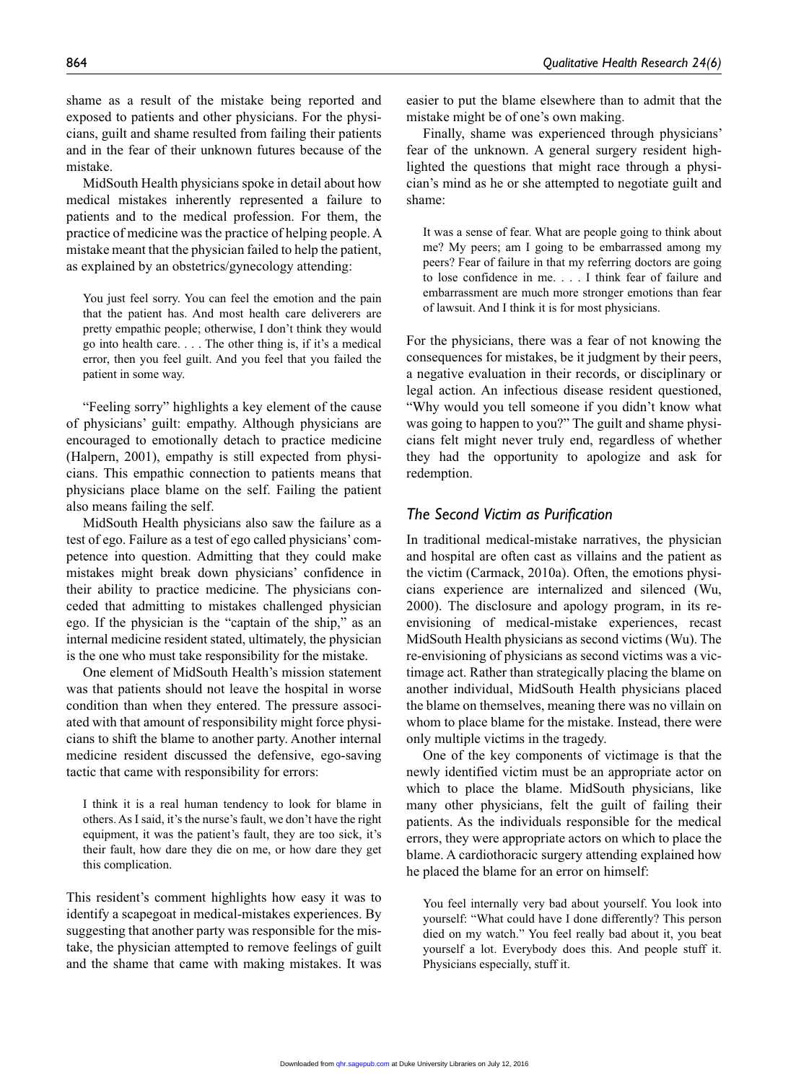MidSouth Health physicians spoke in detail about how medical mistakes inherently represented a failure to patients and to the medical profession. For them, the practice of medicine was the practice of helping people. A mistake meant that the physician failed to help the patient, as explained by an obstetrics/gynecology attending:

You just feel sorry. You can feel the emotion and the pain that the patient has. And most health care deliverers are pretty empathic people; otherwise, I don't think they would go into health care. . . . The other thing is, if it's a medical error, then you feel guilt. And you feel that you failed the patient in some way.

"Feeling sorry" highlights a key element of the cause of physicians' guilt: empathy. Although physicians are encouraged to emotionally detach to practice medicine (Halpern, 2001), empathy is still expected from physicians. This empathic connection to patients means that physicians place blame on the self. Failing the patient also means failing the self.

MidSouth Health physicians also saw the failure as a test of ego. Failure as a test of ego called physicians' competence into question. Admitting that they could make mistakes might break down physicians' confidence in their ability to practice medicine. The physicians conceded that admitting to mistakes challenged physician ego. If the physician is the "captain of the ship," as an internal medicine resident stated, ultimately, the physician is the one who must take responsibility for the mistake.

One element of MidSouth Health's mission statement was that patients should not leave the hospital in worse condition than when they entered. The pressure associated with that amount of responsibility might force physicians to shift the blame to another party. Another internal medicine resident discussed the defensive, ego-saving tactic that came with responsibility for errors:

I think it is a real human tendency to look for blame in others. As I said, it's the nurse's fault, we don't have the right equipment, it was the patient's fault, they are too sick, it's their fault, how dare they die on me, or how dare they get this complication.

This resident's comment highlights how easy it was to identify a scapegoat in medical-mistakes experiences. By suggesting that another party was responsible for the mistake, the physician attempted to remove feelings of guilt and the shame that came with making mistakes. It was easier to put the blame elsewhere than to admit that the mistake might be of one's own making.

Finally, shame was experienced through physicians' fear of the unknown. A general surgery resident highlighted the questions that might race through a physician's mind as he or she attempted to negotiate guilt and shame:

It was a sense of fear. What are people going to think about me? My peers; am I going to be embarrassed among my peers? Fear of failure in that my referring doctors are going to lose confidence in me. . . . I think fear of failure and embarrassment are much more stronger emotions than fear of lawsuit. And I think it is for most physicians.

For the physicians, there was a fear of not knowing the consequences for mistakes, be it judgment by their peers, a negative evaluation in their records, or disciplinary or legal action. An infectious disease resident questioned, "Why would you tell someone if you didn't know what was going to happen to you?" The guilt and shame physicians felt might never truly end, regardless of whether they had the opportunity to apologize and ask for redemption.

### *The Second Victim as Purification*

In traditional medical-mistake narratives, the physician and hospital are often cast as villains and the patient as the victim (Carmack, 2010a). Often, the emotions physicians experience are internalized and silenced (Wu, 2000). The disclosure and apology program, in its reenvisioning of medical-mistake experiences, recast MidSouth Health physicians as second victims (Wu). The re-envisioning of physicians as second victims was a victimage act. Rather than strategically placing the blame on another individual, MidSouth Health physicians placed the blame on themselves, meaning there was no villain on whom to place blame for the mistake. Instead, there were only multiple victims in the tragedy.

One of the key components of victimage is that the newly identified victim must be an appropriate actor on which to place the blame. MidSouth physicians, like many other physicians, felt the guilt of failing their patients. As the individuals responsible for the medical errors, they were appropriate actors on which to place the blame. A cardiothoracic surgery attending explained how he placed the blame for an error on himself:

You feel internally very bad about yourself. You look into yourself: "What could have I done differently? This person died on my watch." You feel really bad about it, you beat yourself a lot. Everybody does this. And people stuff it. Physicians especially, stuff it.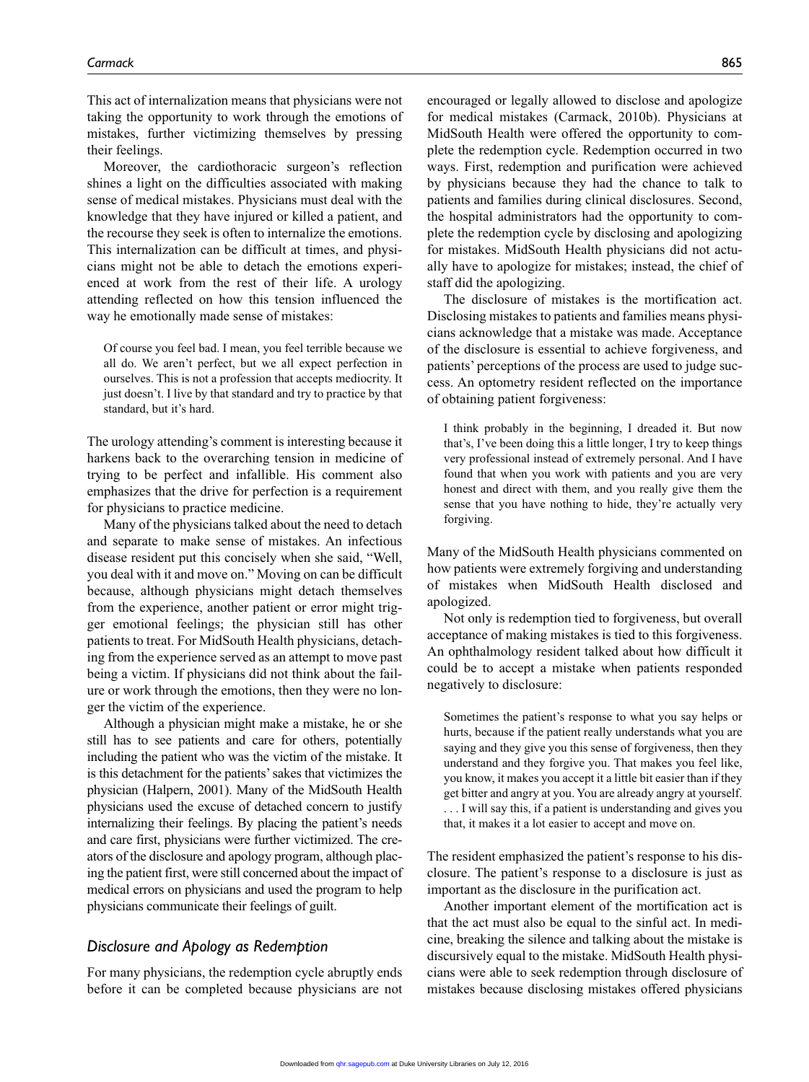This act of internalization means that physicians were not taking the opportunity to work through the emotions of mistakes, further victimizing themselves by pressing their feelings.

Moreover, the cardiothoracic surgeon's reflection shines a light on the difficulties associated with making sense of medical mistakes. Physicians must deal with the knowledge that they have injured or killed a patient, and the recourse they seek is often to internalize the emotions. This internalization can be difficult at times, and physicians might not be able to detach the emotions experienced at work from the rest of their life. A urology attending reflected on how this tension influenced the way he emotionally made sense of mistakes:

Of course you feel bad. I mean, you feel terrible because we all do. We aren't perfect, but we all expect perfection in ourselves. This is not a profession that accepts mediocrity. It just doesn't. I live by that standard and try to practice by that standard, but it's hard.

The urology attending's comment is interesting because it harkens back to the overarching tension in medicine of trying to be perfect and infallible. His comment also emphasizes that the drive for perfection is a requirement for physicians to practice medicine.

Many of the physicians talked about the need to detach and separate to make sense of mistakes. An infectious disease resident put this concisely when she said, "Well, you deal with it and move on." Moving on can be difficult because, although physicians might detach themselves from the experience, another patient or error might trigger emotional feelings; the physician still has other patients to treat. For MidSouth Health physicians, detaching from the experience served as an attempt to move past being a victim. If physicians did not think about the failure or work through the emotions, then they were no longer the victim of the experience.

Although a physician might make a mistake, he or she still has to see patients and care for others, potentially including the patient who was the victim of the mistake. It is this detachment for the patients' sakes that victimizes the physician (Halpern, 2001). Many of the MidSouth Health physicians used the excuse of detached concern to justify internalizing their feelings. By placing the patient's needs and care first, physicians were further victimized. The creators of the disclosure and apology program, although placing the patient first, were still concerned about the impact of medical errors on physicians and used the program to help physicians communicate their feelings of guilt.

#### *Disclosure and Apology as Redemption*

For many physicians, the redemption cycle abruptly ends before it can be completed because physicians are not encouraged or legally allowed to disclose and apologize for medical mistakes (Carmack, 2010b). Physicians at MidSouth Health were offered the opportunity to complete the redemption cycle. Redemption occurred in two ways. First, redemption and purification were achieved by physicians because they had the chance to talk to patients and families during clinical disclosures. Second, the hospital administrators had the opportunity to complete the redemption cycle by disclosing and apologizing for mistakes. MidSouth Health physicians did not actually have to apologize for mistakes; instead, the chief of staff did the apologizing.

The disclosure of mistakes is the mortification act. Disclosing mistakes to patients and families means physicians acknowledge that a mistake was made. Acceptance of the disclosure is essential to achieve forgiveness, and patients' perceptions of the process are used to judge success. An optometry resident reflected on the importance of obtaining patient forgiveness:

I think probably in the beginning, I dreaded it. But now that's, I've been doing this a little longer, I try to keep things very professional instead of extremely personal. And I have found that when you work with patients and you are very honest and direct with them, and you really give them the sense that you have nothing to hide, they're actually very forgiving.

Many of the MidSouth Health physicians commented on how patients were extremely forgiving and understanding of mistakes when MidSouth Health disclosed and apologized.

Not only is redemption tied to forgiveness, but overall acceptance of making mistakes is tied to this forgiveness. An ophthalmology resident talked about how difficult it could be to accept a mistake when patients responded negatively to disclosure:

Sometimes the patient's response to what you say helps or hurts, because if the patient really understands what you are saying and they give you this sense of forgiveness, then they understand and they forgive you. That makes you feel like, you know, it makes you accept it a little bit easier than if they get bitter and angry at you. You are already angry at yourself. . . . I will say this, if a patient is understanding and gives you

that, it makes it a lot easier to accept and move on.

The resident emphasized the patient's response to his disclosure. The patient's response to a disclosure is just as important as the disclosure in the purification act.

Another important element of the mortification act is that the act must also be equal to the sinful act. In medicine, breaking the silence and talking about the mistake is discursively equal to the mistake. MidSouth Health physicians were able to seek redemption through disclosure of mistakes because disclosing mistakes offered physicians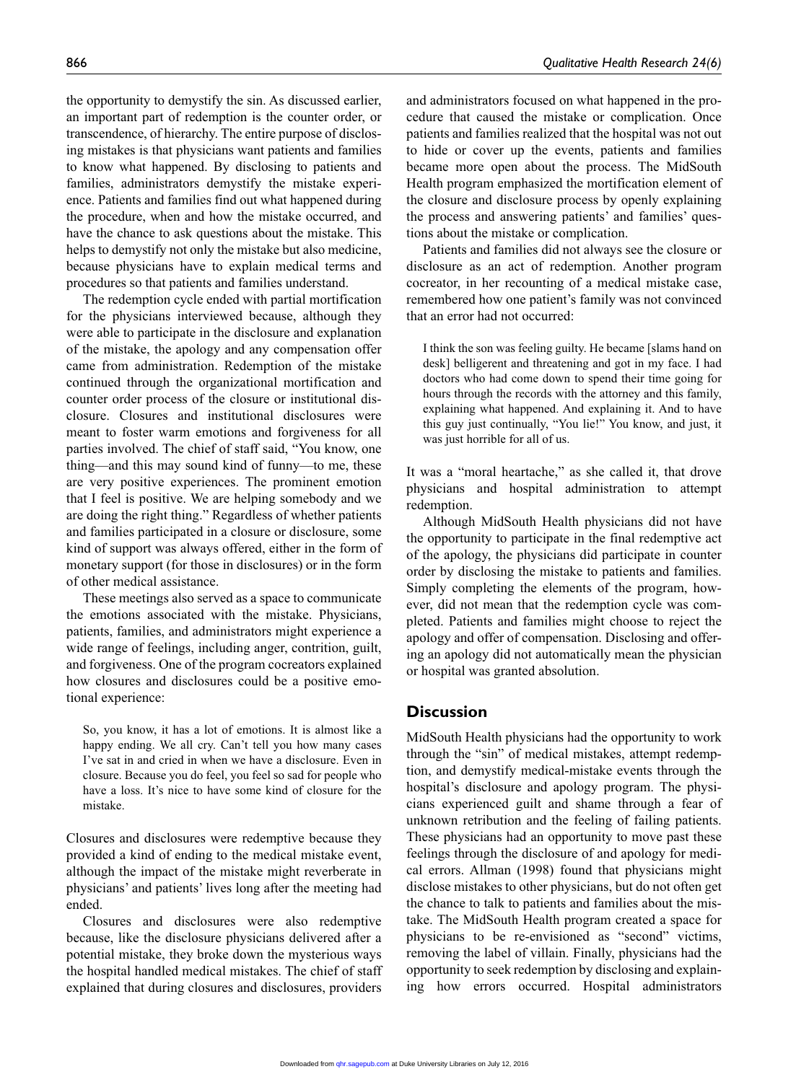the opportunity to demystify the sin. As discussed earlier, an important part of redemption is the counter order, or transcendence, of hierarchy. The entire purpose of disclosing mistakes is that physicians want patients and families to know what happened. By disclosing to patients and families, administrators demystify the mistake experience. Patients and families find out what happened during the procedure, when and how the mistake occurred, and have the chance to ask questions about the mistake. This helps to demystify not only the mistake but also medicine, because physicians have to explain medical terms and procedures so that patients and families understand.

The redemption cycle ended with partial mortification for the physicians interviewed because, although they were able to participate in the disclosure and explanation of the mistake, the apology and any compensation offer came from administration. Redemption of the mistake continued through the organizational mortification and counter order process of the closure or institutional disclosure. Closures and institutional disclosures were meant to foster warm emotions and forgiveness for all parties involved. The chief of staff said, "You know, one thing—and this may sound kind of funny—to me, these are very positive experiences. The prominent emotion that I feel is positive. We are helping somebody and we are doing the right thing." Regardless of whether patients and families participated in a closure or disclosure, some kind of support was always offered, either in the form of monetary support (for those in disclosures) or in the form of other medical assistance.

These meetings also served as a space to communicate the emotions associated with the mistake. Physicians, patients, families, and administrators might experience a wide range of feelings, including anger, contrition, guilt, and forgiveness. One of the program cocreators explained how closures and disclosures could be a positive emotional experience:

So, you know, it has a lot of emotions. It is almost like a happy ending. We all cry. Can't tell you how many cases I've sat in and cried in when we have a disclosure. Even in closure. Because you do feel, you feel so sad for people who have a loss. It's nice to have some kind of closure for the mistake.

Closures and disclosures were redemptive because they provided a kind of ending to the medical mistake event, although the impact of the mistake might reverberate in physicians' and patients' lives long after the meeting had ended.

Closures and disclosures were also redemptive because, like the disclosure physicians delivered after a potential mistake, they broke down the mysterious ways the hospital handled medical mistakes. The chief of staff explained that during closures and disclosures, providers

and administrators focused on what happened in the procedure that caused the mistake or complication. Once patients and families realized that the hospital was not out to hide or cover up the events, patients and families became more open about the process. The MidSouth Health program emphasized the mortification element of the closure and disclosure process by openly explaining the process and answering patients' and families' questions about the mistake or complication.

Patients and families did not always see the closure or disclosure as an act of redemption. Another program cocreator, in her recounting of a medical mistake case, remembered how one patient's family was not convinced that an error had not occurred:

I think the son was feeling guilty. He became [slams hand on desk] belligerent and threatening and got in my face. I had doctors who had come down to spend their time going for hours through the records with the attorney and this family, explaining what happened. And explaining it. And to have this guy just continually, "You lie!" You know, and just, it was just horrible for all of us.

It was a "moral heartache," as she called it, that drove physicians and hospital administration to attempt redemption.

Although MidSouth Health physicians did not have the opportunity to participate in the final redemptive act of the apology, the physicians did participate in counter order by disclosing the mistake to patients and families. Simply completing the elements of the program, however, did not mean that the redemption cycle was completed. Patients and families might choose to reject the apology and offer of compensation. Disclosing and offering an apology did not automatically mean the physician or hospital was granted absolution.

## **Discussion**

MidSouth Health physicians had the opportunity to work through the "sin" of medical mistakes, attempt redemption, and demystify medical-mistake events through the hospital's disclosure and apology program. The physicians experienced guilt and shame through a fear of unknown retribution and the feeling of failing patients. These physicians had an opportunity to move past these feelings through the disclosure of and apology for medical errors. Allman (1998) found that physicians might disclose mistakes to other physicians, but do not often get the chance to talk to patients and families about the mistake. The MidSouth Health program created a space for physicians to be re-envisioned as "second" victims, removing the label of villain. Finally, physicians had the opportunity to seek redemption by disclosing and explaining how errors occurred. Hospital administrators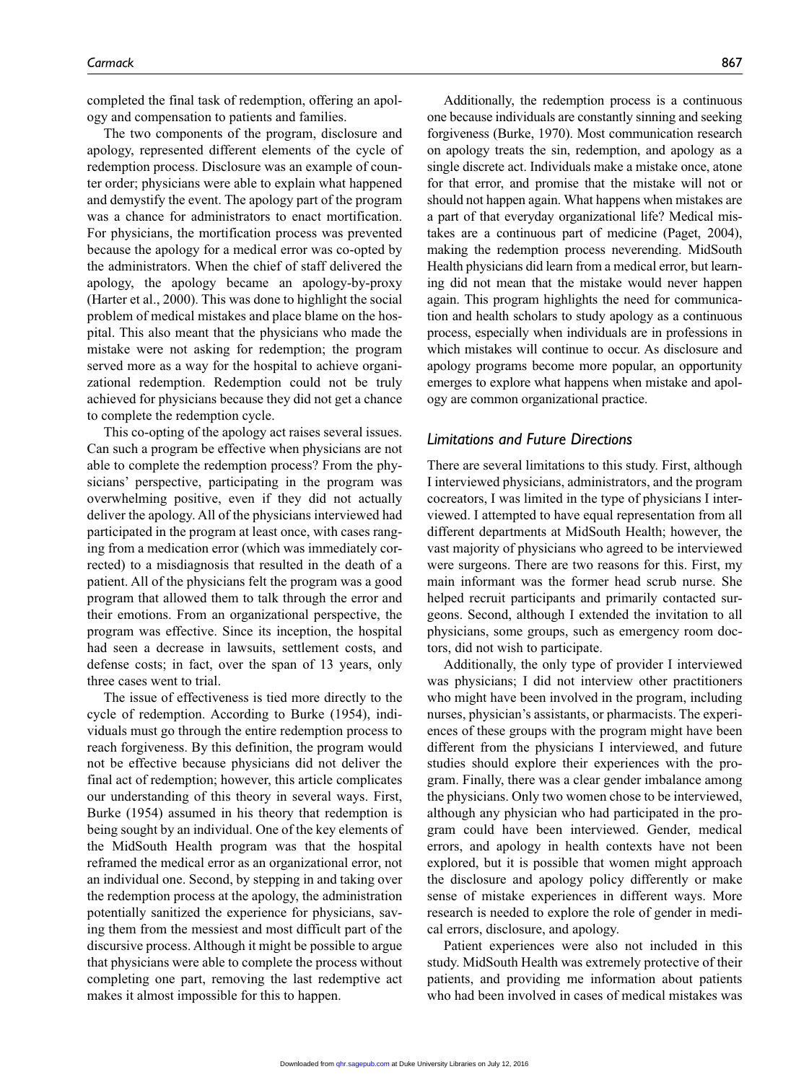completed the final task of redemption, offering an apology and compensation to patients and families.

The two components of the program, disclosure and apology, represented different elements of the cycle of redemption process. Disclosure was an example of counter order; physicians were able to explain what happened and demystify the event. The apology part of the program was a chance for administrators to enact mortification. For physicians, the mortification process was prevented because the apology for a medical error was co-opted by the administrators. When the chief of staff delivered the apology, the apology became an apology-by-proxy (Harter et al., 2000). This was done to highlight the social problem of medical mistakes and place blame on the hospital. This also meant that the physicians who made the mistake were not asking for redemption; the program served more as a way for the hospital to achieve organizational redemption. Redemption could not be truly achieved for physicians because they did not get a chance to complete the redemption cycle.

This co-opting of the apology act raises several issues. Can such a program be effective when physicians are not able to complete the redemption process? From the physicians' perspective, participating in the program was overwhelming positive, even if they did not actually deliver the apology. All of the physicians interviewed had participated in the program at least once, with cases ranging from a medication error (which was immediately corrected) to a misdiagnosis that resulted in the death of a patient. All of the physicians felt the program was a good program that allowed them to talk through the error and their emotions. From an organizational perspective, the program was effective. Since its inception, the hospital had seen a decrease in lawsuits, settlement costs, and defense costs; in fact, over the span of 13 years, only three cases went to trial.

The issue of effectiveness is tied more directly to the cycle of redemption. According to Burke (1954), individuals must go through the entire redemption process to reach forgiveness. By this definition, the program would not be effective because physicians did not deliver the final act of redemption; however, this article complicates our understanding of this theory in several ways. First, Burke (1954) assumed in his theory that redemption is being sought by an individual. One of the key elements of the MidSouth Health program was that the hospital reframed the medical error as an organizational error, not an individual one. Second, by stepping in and taking over the redemption process at the apology, the administration potentially sanitized the experience for physicians, saving them from the messiest and most difficult part of the discursive process. Although it might be possible to argue that physicians were able to complete the process without completing one part, removing the last redemptive act makes it almost impossible for this to happen.

Additionally, the redemption process is a continuous one because individuals are constantly sinning and seeking forgiveness (Burke, 1970). Most communication research on apology treats the sin, redemption, and apology as a single discrete act. Individuals make a mistake once, atone for that error, and promise that the mistake will not or should not happen again. What happens when mistakes are a part of that everyday organizational life? Medical mistakes are a continuous part of medicine (Paget, 2004), making the redemption process neverending. MidSouth Health physicians did learn from a medical error, but learning did not mean that the mistake would never happen again. This program highlights the need for communication and health scholars to study apology as a continuous process, especially when individuals are in professions in which mistakes will continue to occur. As disclosure and apology programs become more popular, an opportunity emerges to explore what happens when mistake and apology are common organizational practice.

### *Limitations and Future Directions*

There are several limitations to this study. First, although I interviewed physicians, administrators, and the program cocreators, I was limited in the type of physicians I interviewed. I attempted to have equal representation from all different departments at MidSouth Health; however, the vast majority of physicians who agreed to be interviewed were surgeons. There are two reasons for this. First, my main informant was the former head scrub nurse. She helped recruit participants and primarily contacted surgeons. Second, although I extended the invitation to all physicians, some groups, such as emergency room doctors, did not wish to participate.

Additionally, the only type of provider I interviewed was physicians; I did not interview other practitioners who might have been involved in the program, including nurses, physician's assistants, or pharmacists. The experiences of these groups with the program might have been different from the physicians I interviewed, and future studies should explore their experiences with the program. Finally, there was a clear gender imbalance among the physicians. Only two women chose to be interviewed, although any physician who had participated in the program could have been interviewed. Gender, medical errors, and apology in health contexts have not been explored, but it is possible that women might approach the disclosure and apology policy differently or make sense of mistake experiences in different ways. More research is needed to explore the role of gender in medical errors, disclosure, and apology.

Patient experiences were also not included in this study. MidSouth Health was extremely protective of their patients, and providing me information about patients who had been involved in cases of medical mistakes was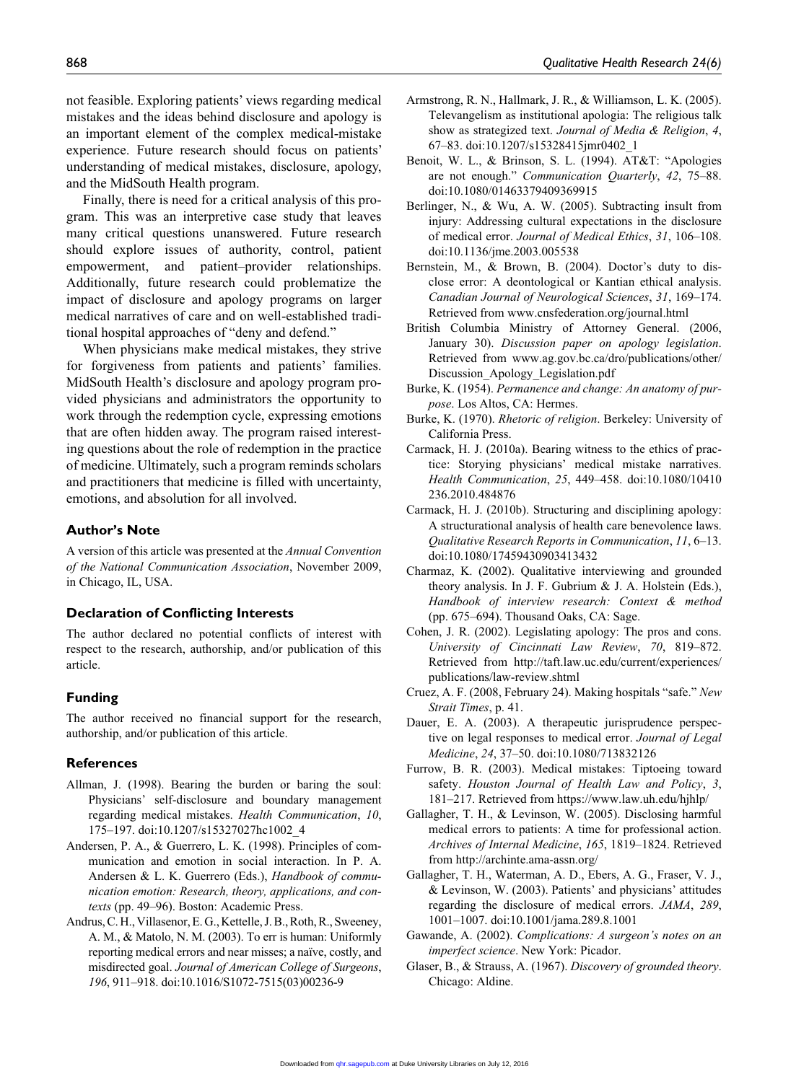not feasible. Exploring patients' views regarding medical mistakes and the ideas behind disclosure and apology is an important element of the complex medical-mistake experience. Future research should focus on patients' understanding of medical mistakes, disclosure, apology, and the MidSouth Health program.

Finally, there is need for a critical analysis of this program. This was an interpretive case study that leaves many critical questions unanswered. Future research should explore issues of authority, control, patient empowerment, and patient–provider relationships. Additionally, future research could problematize the impact of disclosure and apology programs on larger medical narratives of care and on well-established traditional hospital approaches of "deny and defend."

When physicians make medical mistakes, they strive for forgiveness from patients and patients' families. MidSouth Health's disclosure and apology program provided physicians and administrators the opportunity to work through the redemption cycle, expressing emotions that are often hidden away. The program raised interesting questions about the role of redemption in the practice of medicine. Ultimately, such a program reminds scholars and practitioners that medicine is filled with uncertainty, emotions, and absolution for all involved.

#### **Author's Note**

A version of this article was presented at the *Annual Convention of the National Communication Association*, November 2009, in Chicago, IL, USA.

#### **Declaration of Conflicting Interests**

The author declared no potential conflicts of interest with respect to the research, authorship, and/or publication of this article.

#### **Funding**

The author received no financial support for the research, authorship, and/or publication of this article.

#### **References**

- Allman, J. (1998). Bearing the burden or baring the soul: Physicians' self-disclosure and boundary management regarding medical mistakes. *Health Communication*, *10*, 175–197. doi:10.1207/s15327027hc1002\_4
- Andersen, P. A., & Guerrero, L. K. (1998). Principles of communication and emotion in social interaction. In P. A. Andersen & L. K. Guerrero (Eds.), *Handbook of communication emotion: Research, theory, applications, and contexts* (pp. 49–96). Boston: Academic Press.
- Andrus, C. H., Villasenor, E. G., Kettelle, J. B., Roth, R., Sweeney, A. M., & Matolo, N. M. (2003). To err is human: Uniformly reporting medical errors and near misses; a naïve, costly, and misdirected goal. *Journal of American College of Surgeons*, *196*, 911–918. doi:10.1016/S1072-7515(03)00236-9
- Armstrong, R. N., Hallmark, J. R., & Williamson, L. K. (2005). Televangelism as institutional apologia: The religious talk show as strategized text. *Journal of Media & Religion*, *4*, 67–83. doi:10.1207/s15328415jmr0402\_1
- Benoit, W. L., & Brinson, S. L. (1994). AT&T: "Apologies are not enough." *Communication Quarterly*, *42*, 75–88. doi:10.1080/01463379409369915
- Berlinger, N., & Wu, A. W. (2005). Subtracting insult from injury: Addressing cultural expectations in the disclosure of medical error. *Journal of Medical Ethics*, *31*, 106–108. doi:10.1136/jme.2003.005538
- Bernstein, M., & Brown, B. (2004). Doctor's duty to disclose error: A deontological or Kantian ethical analysis. *Canadian Journal of Neurological Sciences*, *31*, 169–174. Retrieved from www.cnsfederation.org/journal.html
- British Columbia Ministry of Attorney General. (2006, January 30). *Discussion paper on apology legislation*. [Retrieved from www.ag.gov.bc.ca/dro/publications/other/](www.ag.gov.bc.ca/dro/publications/other/Discussion_Apology_Legislation.pdf) Discussion\_Apology\_Legislation.pdf
- Burke, K. (1954). *Permanence and change: An anatomy of purpose*. Los Altos, CA: Hermes.
- Burke, K. (1970). *Rhetoric of religion*. Berkeley: University of California Press.
- Carmack, H. J. (2010a). Bearing witness to the ethics of practice: Storying physicians' medical mistake narratives. *Health Communication*, *25*, 449–458. doi:10.1080/10410 236.2010.484876
- Carmack, H. J. (2010b). Structuring and disciplining apology: A structurational analysis of health care benevolence laws. *Qualitative Research Reports in Communication*, *11*, 6–13. doi:10.1080/17459430903413432
- Charmaz, K. (2002). Qualitative interviewing and grounded theory analysis. In J. F. Gubrium & J. A. Holstein (Eds.), *Handbook of interview research: Context & method* (pp. 675–694). Thousand Oaks, CA: Sage.
- Cohen, J. R. (2002). Legislating apology: The pros and cons. *University of Cincinnati Law Review*, *70*, 819–872. [Retrieved from http://taft.law.uc.edu/current/experiences/](http://taft.law.uc.edu/current/experiences/publications/law-review.shtml) publications/law-review.shtml
- Cruez, A. F. (2008, February 24). Making hospitals "safe." *New Strait Times*, p. 41.
- Dauer, E. A. (2003). A therapeutic jurisprudence perspective on legal responses to medical error. *Journal of Legal Medicine*, *24*, 37–50. doi:10.1080/713832126
- Furrow, B. R. (2003). Medical mistakes: Tiptoeing toward safety. *Houston Journal of Health Law and Policy*, *3*, 181–217. Retrieved from https://www.law.uh.edu/hjhlp/
- Gallagher, T. H., & Levinson, W. (2005). Disclosing harmful medical errors to patients: A time for professional action. *Archives of Internal Medicine*, *165*, 1819–1824. Retrieved from http://archinte.ama-assn.org/
- Gallagher, T. H., Waterman, A. D., Ebers, A. G., Fraser, V. J., & Levinson, W. (2003). Patients' and physicians' attitudes regarding the disclosure of medical errors. *JAMA*, *289*, 1001–1007. doi:10.1001/jama.289.8.1001
- Gawande, A. (2002). *Complications: A surgeon's notes on an imperfect science*. New York: Picador.
- Glaser, B., & Strauss, A. (1967). *Discovery of grounded theory*. Chicago: Aldine.